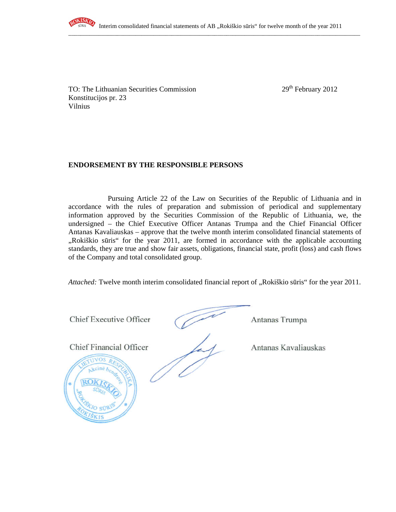

TO: The Lithuanian Securities Commission 29<sup>th</sup> February 2012 Konstitucijos pr. 23 Vilnius

## **ENDORSEMENT BY THE RESPONSIBLE PERSONS**

Pursuing Article 22 of the Law on Securities of the Republic of Lithuania and in accordance with the rules of preparation and submission of periodical and supplementary information approved by the Securities Commission of the Republic of Lithuania, we, the undersigned – the Chief Executive Officer Antanas Trumpa and the Chief Financial Officer Antanas Kavaliauskas – approve that the twelve month interim consolidated financial statements of "Rokiškio sūris" for the year 2011, are formed in accordance with the applicable accounting standards, they are true and show fair assets, obligations, financial state, profit (loss) and cash flows of the Company and total consolidated group.

*Attached:* Twelve month interim consolidated financial report of "Rokiškio sūris" for the year 2011.

Chief Executive Officer (Antanas Trumpa

Chief Financial Officer Antanas Kavaliauskas

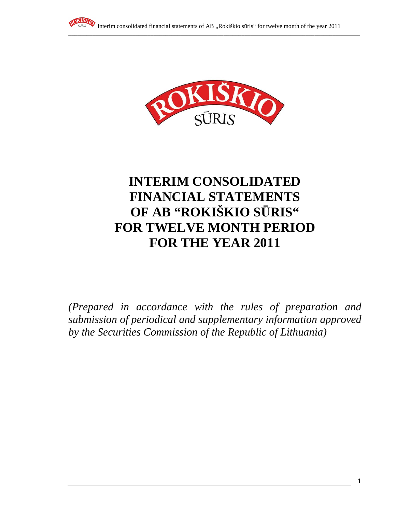



# **INTERIM CONSOLIDATED FINANCIAL STATEMENTS OF AB "ROKIŠKIO S**Ū**RIS" FOR TWELVE MONTH PERIOD FOR THE YEAR 2011**

*(Prepared in accordance with the rules of preparation and submission of periodical and supplementary information approved by the Securities Commission of the Republic of Lithuania)*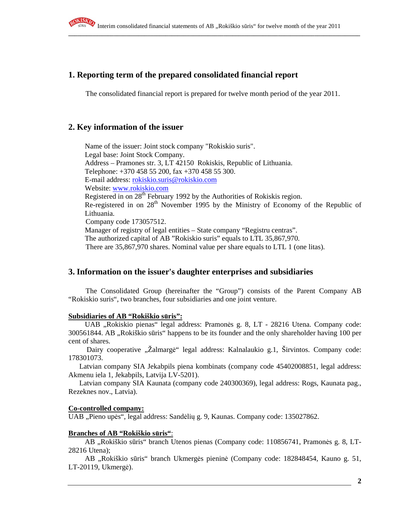

# **1. Reporting term of the prepared consolidated financial report**

The consolidated financial report is prepared for twelve month period of the year 2011.

# **2. Key information of the issuer**

Name of the issuer: Joint stock company "Rokiskio suris". Legal base: Joint Stock Company. Address – Pramones str. 3, LT 42150 Rokiskis, Republic of Lithuania. Telephone: +370 458 55 200, fax +370 458 55 300. E-mail address: rokiskio.suris@rokiskio.com Website: www.rokiskio.com Registered in on 28<sup>th</sup> February 1992 by the Authorities of Rokiskis region. Re-registered in on 28<sup>th</sup> November 1995 by the Ministry of Economy of the Republic of Lithuania. Company code 173057512. Manager of registry of legal entities – State company "Registru centras". The authorized capital of AB "Rokiskio suris" equals to LTL 35,867,970. There are 35,867,970 shares. Nominal value per share equals to LTL 1 (one litas).

# **3. Information on the issuer's daughter enterprises and subsidiaries**

The Consolidated Group (hereinafter the "Group") consists of the Parent Company AB "Rokiskio suris", two branches, four subsidiaries and one joint venture.

#### **Subsidiaries of AB "Rokiškio s**ū**ris":**

UAB "Rokiskio pienas" legal address: Pramonės g. 8, LT - 28216 Utena. Company code: 300561844. AB , Rokiškio sūris "happens to be its founder and the only shareholder having 100 per cent of shares.

Dairy cooperative "Žalmargė" legal address: Kalnalaukio g.1, Širvintos. Company code: 178301073.

 Latvian company SIA Jekabpils piena kombinats (company code 45402008851, legal address: Akmenu iela 1, Jekabpils, Latvija LV-5201).

 Latvian company SIA Kaunata (company code 240300369), legal address: Rogs, Kaunata pag., Rezeknes nov., Latvia).

#### **Co-controlled company:**

UAB "Pieno upės", legal address: Sandėlių g. 9, Kaunas. Company code: 135027862.

#### **Branches of AB "Rokiškio s**ū**ris"**:

AB "Rokiškio sūris" branch Utenos pienas (Company code: 110856741, Pramonės g. 8, LT-28216 Utena);

AB "Rokiškio sūris" branch Ukmergės pieninė (Company code: 182848454, Kauno g. 51, LT-20119, Ukmergė).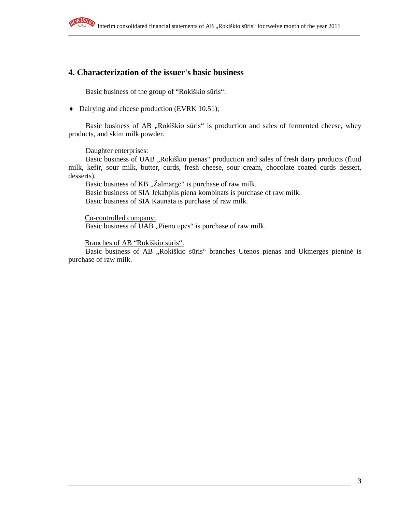

# **4. Characterization of the issuer's basic business**

Basic business of the group of "Rokiškio sūris":

♦ Dairying and cheese production (EVRK 10.51);

Basic business of AB "Rokiškio sūris" is production and sales of fermented cheese, whey products, and skim milk powder.

Daughter enterprises:

Basic business of UAB "Rokiškio pienas" production and sales of fresh dairy products (fluid milk, kefir, sour milk, butter, curds, fresh cheese, sour cream, chocolate coated curds dessert, desserts).

Basic business of KB "Žalmargė" is purchase of raw milk. Basic business of SIA Jekabpils piena kombinats is purchase of raw milk. Basic business of SIA Kaunata is purchase of raw milk.

Co-controlled company: Basic business of UAB "Pieno upės" is purchase of raw milk.

Branches of AB "Rokiškio sūris":

Basic business of AB "Rokiškio sūris" branches Utenos pienas and Ukmergės pieninė is purchase of raw milk.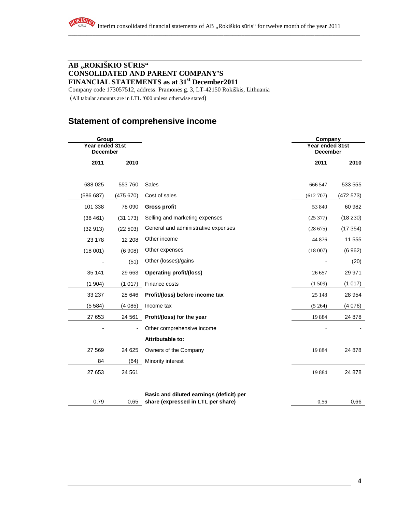# **AB "ROKIŠKIO S**Ū**RIS" CONSOLIDATED AND PARENT COMPANY'S FINANCIAL STATEMENTS as at 31st December2011**

Company code 173057512, address: Pramonės g. 3, LT-42150 Rokiškis, Lithuania

(All tabular amounts are in LTL '000 unless otherwise stated)

# **Statement of comprehensive income**

| Group<br>Year ended 31st |           |                                          | Company<br>Year ended 31st |          |
|--------------------------|-----------|------------------------------------------|----------------------------|----------|
| <b>December</b>          |           |                                          | <b>December</b>            |          |
| 2011                     | 2010      |                                          | 2011                       | 2010     |
| 688 025                  | 553 760   | <b>Sales</b>                             | 666 547                    | 533 555  |
| (586 687)                | (475 670) | Cost of sales                            | (612 707)                  | (472573) |
| 101 338                  | 78 090    | <b>Gross profit</b>                      | 53 840                     | 60 982   |
| (38461)                  | (31 173)  | Selling and marketing expenses           | (25377)                    | (18 230) |
| (32913)                  | (22503)   | General and administrative expenses      | (28675)                    | (17354)  |
| 23 178                   | 12 208    | Other income                             | 44 876                     | 11 555   |
| (18001)                  | (6908)    | Other expenses                           | (18007)                    | (6962)   |
|                          | (51)      | Other (losses)/gains                     |                            | (20)     |
| 35 141                   | 29 663    | Operating profit/(loss)                  | 26 657                     | 29 971   |
| (1904)                   | (1017)    | Finance costs                            | (1509)                     | (1017)   |
| 33 237                   | 28 646    | Profit/(loss) before income tax          | 25 148                     | 28 9 54  |
| (5584)                   | (4085)    | Income tax                               | (5264)                     | (4076)   |
| 27 653                   | 24 561    | Profit/(loss) for the year               | 19884                      | 24 878   |
|                          |           | Other comprehensive income               |                            |          |
|                          |           | Attributable to:                         |                            |          |
| 27 569                   | 24 6 25   | Owners of the Company                    | 19884                      | 24 878   |
| 84                       | (64)      | Minority interest                        |                            |          |
| 27 653                   | 24 561    |                                          | 19884                      | 24 878   |
|                          |           |                                          |                            |          |
|                          |           | Basic and diluted earnings (deficit) per |                            |          |
| 0,79                     | 0,65      | share (expressed in LTL per share)       | 0,56                       | 0,66     |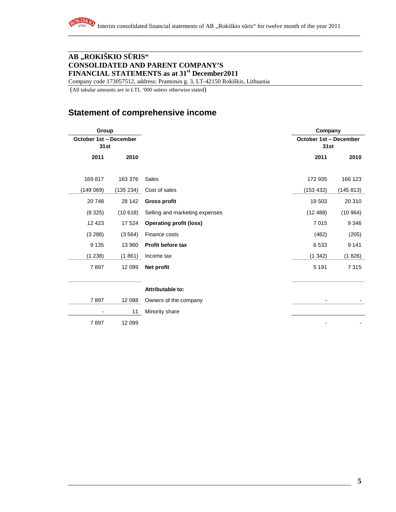# **AB "ROKIŠKIO S**Ū**RIS" CONSOLIDATED AND PARENT COMPANY'S FINANCIAL STATEMENTS as at 31st December2011**

Company code 173057512, address: Pramonės g. 3, LT-42150 Rokiškis, Lithuania

(All tabular amounts are in LTL '000 unless otherwise stated)

# **Statement of comprehensive income**

| Group                          |           |                                | Company                        |           |
|--------------------------------|-----------|--------------------------------|--------------------------------|-----------|
| October 1st - December<br>31st |           |                                | October 1st - December<br>31st |           |
| 2011                           | 2010      |                                | 2011                           | 2010      |
| 169 817                        | 163 376   | Sales                          | 172 935                        | 166 123   |
| (149069)                       | (135 234) | Cost of sales                  | (153 432)                      | (145 813) |
| 20748                          | 28 142    | <b>Gross profit</b>            | 19 503                         | 20 310    |
| (8325)                         | (10618)   | Selling and marketing expenses | (12488)                        | (10964)   |
| 12 4 23                        | 17 524    | <b>Operating profit (loss)</b> | 7015                           | 9 3 4 6   |
| (3 288)                        | (3564)    | Finance costs                  | (482)                          | (205)     |
| 9 1 3 5                        | 13 960    | Profit before tax              | 6533                           | 9 1 4 1   |
| (1238)                         | (1861)    | Income tax                     | (1342)                         | (1826)    |
| 7897                           | 12 099    | Net profit                     | 5 1 9 1                        | 7315      |
|                                |           |                                |                                |           |
|                                |           | Attributable to:               |                                |           |
| 7897                           | 12 088    | Owners of the company          |                                |           |
| -                              | 11        | Minority share                 |                                |           |
| 7897                           | 12 099    |                                |                                |           |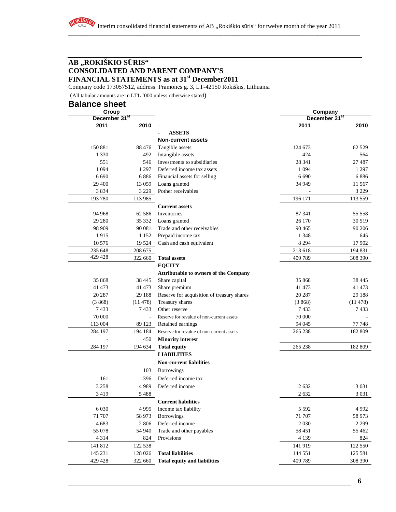## **AB "ROKIŠKIO S**Ū**RIS" CONSOLIDATED AND PARENT COMPANY'S FINANCIAL STATEMENTS as at 31st December2011**

Company code 173057512, address: Pramonės g. 3, LT-42150 Rokiškis, Lithuania

 (All tabular amounts are in LTL '000 unless otherwise stated) **Balance sheet** 

RO

| <b>Balance sneet</b><br>Group |                          |                                              | Company                   |         |
|-------------------------------|--------------------------|----------------------------------------------|---------------------------|---------|
| December 31 <sup>st</sup>     |                          |                                              | December 31 <sup>st</sup> |         |
| 2011                          | 2010                     |                                              | 2011                      | 2010    |
|                               |                          | <b>ASSETS</b>                                |                           |         |
|                               |                          | <b>Non-current assets</b>                    |                           |         |
| 150 881                       | 88 476                   | Tangible assets                              | 124 673                   | 62 5 29 |
| 1 3 3 0                       | 492                      | Intangible assets                            | 424                       | 564     |
| 551                           | 546                      | Investments to subsidiaries                  | 28 341                    | 27 487  |
| 1 0 9 4                       | 1 2 9 7                  | Deferred income tax assets                   | 1 0 9 4                   | 1 2 9 7 |
| 6 6 9 0                       | 6886                     | Financial assets for selling                 | 6 6 9 0                   | 6886    |
| 29 400                        | 13 059                   | Loans granted                                | 34 949                    | 11 5 67 |
| 3834                          | 3 2 2 9                  | Pother receivables                           |                           | 3 2 2 9 |
| 193780                        | 113 985                  |                                              | 196 171                   | 113 559 |
|                               |                          | <b>Current assets</b>                        |                           |         |
| 94 968                        | 62 58 6                  | Inventories                                  | 87 341                    | 55 558  |
| 29 280                        | 35 332                   | Loans granted                                | 26 170                    | 30 5 19 |
| 98 909                        | 90 081                   | Trade and other receivables                  | 90 4 65                   | 90 20 6 |
| 1915                          | 1 1 5 2                  | Prepaid income tax                           | 1 3 4 8                   | 645     |
| 10 576                        | 19 5 24                  | Cash and cash equivalent                     | 8 2 9 4                   | 17 902  |
| 235 648                       | 208 675                  |                                              | 213 618                   | 194 831 |
| 429 428                       | 322 660                  | <b>Total assets</b>                          | 409 789                   | 308 390 |
|                               |                          | <b>EQUITY</b>                                |                           |         |
|                               |                          | <b>Attributable to owners of the Company</b> |                           |         |
| 35 868                        | 38 445                   | Share capital                                | 35 868                    | 38 4 45 |
| 41 473                        | 41 473                   | Share premium                                | 41 473                    | 41 473  |
| 20 287                        | 29 188                   | Reserve for acquisition of treasury shares   | 20 287                    | 29 188  |
| (3868)                        | (11478)                  | Treasury shares                              | (3868)                    | (11478) |
| 7433                          | 7433                     | Other reserve                                | 7433                      | 7433    |
| 70 000                        | $\overline{\phantom{a}}$ | Reserve for revalue of non-current assets    | 70 000                    |         |
| 113 004                       | 89 123                   | Retained earnings                            | 94 045                    | 77 748  |
| 284 197                       | 194 184                  | Reserve for revalue of non-current assets    | 265 238                   | 182 809 |
|                               | 450                      | <b>Minority interest</b>                     |                           |         |
| 284 197                       | 194 634                  | <b>Total equity</b>                          | 265 238                   | 182 809 |
|                               |                          | <b>LIABILITIES</b>                           |                           |         |
|                               |                          | <b>Non-current liabilities</b>               |                           |         |
|                               | 103                      | <b>Borrowings</b>                            |                           |         |
| 161                           | 396                      | Deferred income tax                          |                           |         |
| 3 2 5 8                       | 4989                     | Deferred income                              | 2632                      | 3 0 3 1 |
| 3 4 1 9                       | 5 4 8 8                  |                                              | 2 6 3 2                   | 3 0 3 1 |
|                               |                          | <b>Current liabilities</b>                   |                           |         |
| 6 0 30                        | 4 9 9 5                  | Income tax liability                         | 5 5 9 2                   | 4 9 9 2 |
| 71 707                        | 58 973                   | <b>Borrowings</b>                            | 71 707                    | 58 973  |
| 4 6 8 3                       | 2 8 0 6                  | Deferred income                              | 2 0 3 0                   | 2 2 9 9 |
| 55 078                        | 54 940                   |                                              | 58 451                    | 55 4 62 |
| 4 3 1 4                       | 824                      | Trade and other payables<br>Provisions       | 4 1 3 9                   | 824     |
| 141 812                       | 122 538                  |                                              | 141 919                   | 122 550 |
|                               |                          | <b>Total liabilities</b>                     |                           |         |
| 145 231                       | 128 026                  |                                              | 144 551                   | 125 581 |
| 429 428                       | 322 660                  | <b>Total equity and liabilities</b>          | 409 789                   | 308 390 |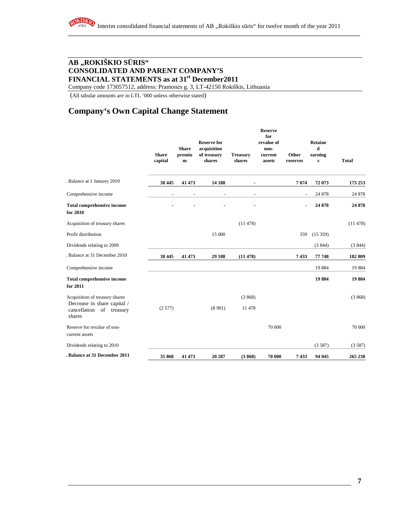# **AB "ROKIŠKIO S**Ū**RIS" CONSOLIDATED AND PARENT COMPANY'S FINANCIAL STATEMENTS as at 31st December2011**

Company code 173057512, address: Pramonės g. 3, LT-42150 Rokiškis, Lithuania

(All tabular amounts are in LTL '000 unless otherwise stated)

# **Company's Own Capital Change Statement**

|                                                                      | <b>Share</b><br>capital | <b>Share</b><br>premiu<br>${\bf m}$ | <b>Reserve for</b><br>acquisition<br>of treasury<br>shares | <b>Treasury</b><br>shares | <b>Reserve</b><br>for<br>revalue of<br>non-<br>current<br>assets | Other<br>reserves        | Retaine<br>d<br>earning<br>${\bf s}$ | <b>Total</b> |
|----------------------------------------------------------------------|-------------------------|-------------------------------------|------------------------------------------------------------|---------------------------|------------------------------------------------------------------|--------------------------|--------------------------------------|--------------|
| . Balance at 1 January 2010                                          | 38 445                  | 41 473                              | 14 188                                                     |                           |                                                                  | 7074                     | 72 073                               | 173 253      |
| Comprehensive income                                                 |                         | $\overline{\phantom{a}}$            | $\overline{\phantom{a}}$                                   | $\overline{\phantom{a}}$  |                                                                  | $\overline{\phantom{a}}$ | 24 878                               | 24 878       |
| <b>Total comprehensive income</b><br>for 2010                        |                         |                                     |                                                            |                           |                                                                  | ٠                        | 24 878                               | 24 878       |
| Acquisition of treasury shares                                       |                         |                                     |                                                            | (11478)                   |                                                                  |                          |                                      | (11478)      |
| Profit distribution                                                  |                         |                                     | 15 000                                                     |                           |                                                                  | 359                      | (15359)                              |              |
| Dividends relating to 2009                                           |                         |                                     |                                                            |                           |                                                                  |                          | (3844)                               | (3844)       |
| . Balance at 31 December 2010                                        | 38 445                  | 41 473                              | 29 188                                                     | (11478)                   |                                                                  | 7433                     | 77 748                               | 182 809      |
| Comprehensive income                                                 |                         |                                     |                                                            |                           |                                                                  |                          | 19884                                | 19884        |
| <b>Total comprehensive income</b><br>for 2011                        |                         |                                     |                                                            |                           |                                                                  |                          | 19884                                | 19884        |
| Acquisition of treasury shares                                       |                         |                                     |                                                            | (3868)                    |                                                                  |                          |                                      | (3868)       |
| Decrease in share capital /<br>cancellation<br>of treasury<br>shares | (2577)                  |                                     | (8901)                                                     | 11 478                    |                                                                  |                          |                                      |              |
| Reserve for revalue of non-<br>current assets                        |                         |                                     |                                                            |                           | 70 000                                                           |                          |                                      | 70 000       |
| Dividends relating to 2010                                           |                         |                                     |                                                            |                           |                                                                  |                          | (3587)                               | (3587)       |
| . Balance at 31 December 2011                                        | 35 868                  | 41 473                              | 20 287                                                     | (3868)                    | 70 000                                                           | 7433                     | 94 045                               | 265 238      |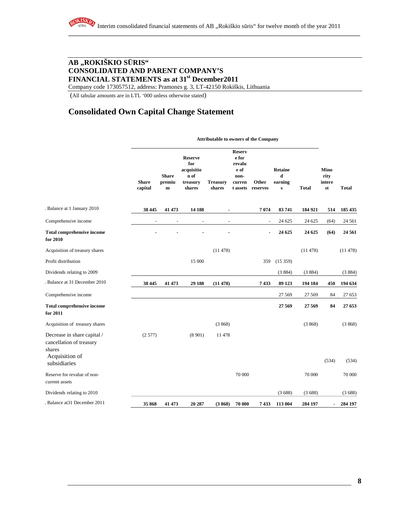# **AB "ROKIŠKIO S**Ū**RIS" CONSOLIDATED AND PARENT COMPANY'S FINANCIAL STATEMENTS as at 31st December2011**

Company code 173057512, address: Pramonės g. 3, LT-42150 Rokiškis, Lithuania

(All tabular amounts are in LTL '000 unless otherwise stated)

# **Consolidated Own Capital Change Statement**

#### **Attributable to owners of the Company**

|                                                                   | <b>Share</b><br>capital | <b>Share</b><br>premiu<br>$\mathbf{m}$ | <b>Reserve</b><br>for<br>acquisitio<br>n of<br>treasury<br>shares | <b>Treasury</b><br>shares | <b>Reserv</b><br>e for<br>revalu<br>e of<br>non-<br>curren<br>t assets | Other<br>reserves | Retaine<br>d<br>earning<br>${\bf s}$ | <b>Total</b> | <b>Mino</b><br>rity<br>intere<br>st | <b>Total</b> |
|-------------------------------------------------------------------|-------------------------|----------------------------------------|-------------------------------------------------------------------|---------------------------|------------------------------------------------------------------------|-------------------|--------------------------------------|--------------|-------------------------------------|--------------|
| . Balance at 1 January 2010                                       | 38 445                  | 41 473                                 | 14 188                                                            | $\blacksquare$            |                                                                        | 7074              | 83741                                | 184 921      | 514                                 | 185 435      |
| Comprehensive income                                              | $\overline{a}$          | $\overline{a}$                         | $\overline{a}$                                                    | $\sim$                    |                                                                        | $\overline{a}$    | 24 625                               | 24 625       | (64)                                | 24 5 61      |
| <b>Total comprehensive income</b><br>for 2010                     |                         |                                        |                                                                   |                           |                                                                        | $\blacksquare$    | 24 625                               | 24 625       | (64)                                | 24 5 61      |
| Acquisition of treasury shares                                    |                         |                                        |                                                                   | (11478)                   |                                                                        |                   |                                      | (11478)      |                                     | (11478)      |
| Profit distribution                                               |                         |                                        | 15 000                                                            |                           |                                                                        | 359               | (15359)                              |              |                                     |              |
| Dividends relating to 2009                                        |                         |                                        |                                                                   |                           |                                                                        |                   | (3884)                               | (3884)       |                                     | (3884)       |
| Balance at 31 December 2010                                       | 38 445                  | 41 473                                 | 29 188                                                            | (11478)                   |                                                                        | 7433              | 89 123                               | 194 184      | 450                                 | 194 634      |
| Comprehensive income                                              |                         |                                        |                                                                   |                           |                                                                        |                   | 27 5 69                              | 27 5 69      | 84                                  | 27 653       |
| <b>Total comprehensive income</b><br>for 2011                     |                         |                                        |                                                                   |                           |                                                                        |                   | 27 5 69                              | 27 5 69      | 84                                  | 27 653       |
| Acquisition of treasury shares                                    |                         |                                        |                                                                   | (3868)                    |                                                                        |                   |                                      | (3868)       |                                     | (3868)       |
| Decrease in share capital /<br>cancellation of treasury<br>shares | (2577)                  |                                        | (8901)                                                            | 11 478                    |                                                                        |                   |                                      |              |                                     |              |
| Acquisition of<br>subsidiaries                                    |                         |                                        |                                                                   |                           |                                                                        |                   |                                      |              | (534)                               | (534)        |
| Reserve for revalue of non-<br>current assets                     |                         |                                        |                                                                   |                           | 70 000                                                                 |                   |                                      | 70 000       |                                     | 70 000       |
| Dividends relating to 2010                                        |                         |                                        |                                                                   |                           |                                                                        |                   | (3688)                               | (3688)       |                                     | (3688)       |
| . Balance at 31 December 2011                                     | 35 868                  | 41 473                                 | 20 287                                                            | (3868)                    | 70 000                                                                 | 7433              | 113 004                              | 284 197      |                                     | 284 197      |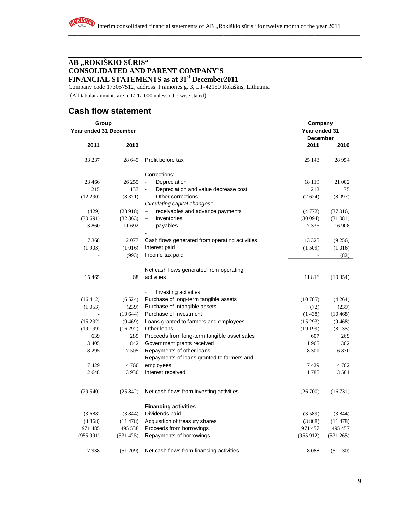# **AB "ROKIŠKIO S**Ū**RIS" CONSOLIDATED AND PARENT COMPANY'S FINANCIAL STATEMENTS as at 31st December2011**

Company code 173057512, address: Pramonės g. 3, LT-42150 Rokiškis, Lithuania

(All tabular amounts are in LTL '000 unless otherwise stated)

# **Cash flow statement**

| Group                  |           |                                                       | Company       |           |
|------------------------|-----------|-------------------------------------------------------|---------------|-----------|
| Year ended 31 December |           |                                                       | Year ended 31 |           |
|                        |           |                                                       | December      |           |
| 2011                   | 2010      |                                                       | 2011          | 2010      |
| 33 237                 | 28 645    | Profit before tax                                     | 25 148        | 28 9 54   |
|                        |           | Corrections:                                          |               |           |
| 23 4 6 6               | 26 25 5   | Depreciation<br>$\overline{\phantom{a}}$              | 18 1 19       | 21 002    |
| 215                    | 137       | Depreciation and value decrease cost<br>$\frac{1}{2}$ | 212           | 75        |
| (12 290)               | (8371)    | Other corrections<br>$\qquad \qquad -$                | (2624)        | (8097)    |
|                        |           | Circulating capital changes:                          |               |           |
| (429)                  | (23918)   | receivables and advance payments<br>$\qquad \qquad -$ | (4772)        | (37016)   |
| (30691)                | (32363)   | inventories                                           | (30094)       | (31081)   |
| 3 8 6 0                | 11 692    | payables<br>$\overline{\phantom{0}}$                  | 7 3 3 6       | 16 908    |
|                        |           |                                                       |               |           |
| 17 368                 | 2077      | Cash flows generated from operating activities        | 13 3 25       | (9256)    |
| (1903)                 | (1016)    | Interest paid                                         | (1509)        | (1016)    |
|                        | (993)     | Income tax paid                                       |               | (82)      |
|                        |           | Net cash flows generated from operating               |               |           |
| 15465                  | 68        | activities                                            | 11 816        | (10354)   |
|                        |           |                                                       |               |           |
|                        |           | Investing activities                                  |               |           |
| (16412)                | (6524)    | Purchase of long-term tangible assets                 | (10785)       | (4264)    |
| (1053)                 | (239)     | Purchase of intangible assets                         | (72)          | (239)     |
|                        | (10644)   | Purchase of investment                                | (1438)        | (10468)   |
| (15 292)               | (9469)    | Loans granted to farmers and employees                | (15293)       | (9468)    |
| (19199)                | (16 292)  | Other loans                                           | (19199)       | (8135)    |
| 639                    | 289       | Proceeds from long-term tangible asset sales          | 607           | 269       |
| 3 4 0 5                | 842       | Government grants received                            | 1965          | 362       |
| 8 2 9 5                | 7 5 0 5   | Repayments of other loans                             | 8 3 0 1       | 6 8 7 0   |
|                        |           | Repayments of loans granted to farmers and            |               |           |
| 7429                   | 4760      | employees                                             | 7429          | 4762      |
| 2648                   | 3 9 3 0   | Interest received                                     | 1785          | 3581      |
|                        |           |                                                       |               |           |
| (29540)                | (25842)   | Net cash flows from investing activities              | (26700)       | (16731)   |
|                        |           |                                                       |               |           |
|                        |           | <b>Financing activities</b>                           |               |           |
| (3688)                 | (3844)    | Dividends paid                                        | (3589)        | (3844)    |
| (3868)                 | (11478)   | Acquisition of treasury shares                        | (3868)        | (11478)   |
| 971 485                | 495 538   | Proceeds from borrowings                              | 971 457       | 495 457   |
| (955991)               | (531 425) | Repayments of borrowings                              | (955912)      | (531 265) |
|                        |           |                                                       |               |           |
| 7938                   | (51 209)  | Net cash flows from financing activities              | 8088          | (51130)   |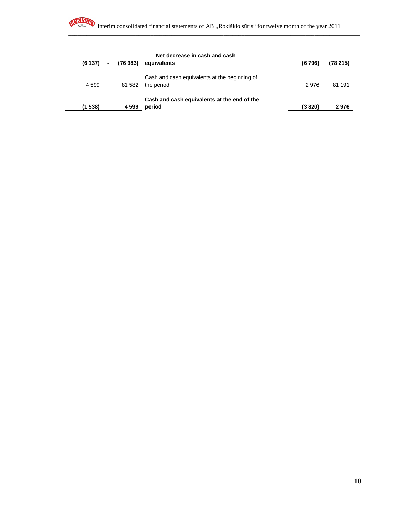| (6137)  | (76 983)<br>$\sim 10^{-11}$ | Net decrease in cash and cash<br>equivalents                | (6796) | (78215) |
|---------|-----------------------------|-------------------------------------------------------------|--------|---------|
| 4 5 9 9 | 81 582                      | Cash and cash equivalents at the beginning of<br>the period | 2976   | 81 191  |
| (1538)  | 4 5 9 9                     | Cash and cash equivalents at the end of the<br>period       | (3820) | 2976    |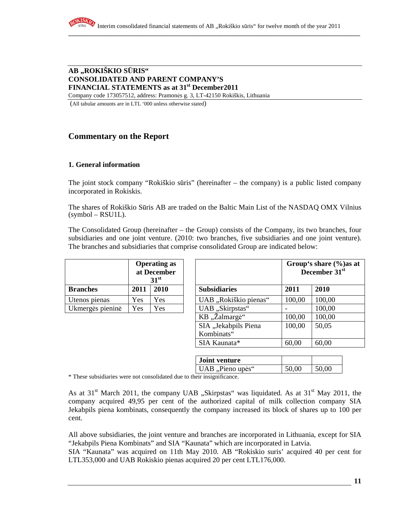# **AB "ROKIŠKIO S**Ū**RIS" CONSOLIDATED AND PARENT COMPANY'S FINANCIAL STATEMENTS as at 31st December2011**

Company code 173057512, address: Pramonės g. 3, LT-42150 Rokiškis, Lithuania

(All tabular amounts are in LTL '000 unless otherwise stated)

# **Commentary on the Report**

#### **1. General information**

The joint stock company "Rokiškio sūris" (hereinafter – the company) is a public listed company incorporated in Rokiskis.

The shares of Rokiškio Sūris AB are traded on the Baltic Main List of the NASDAQ OMX Vilnius  $(symbol - RSU1L)$ .

The Consolidated Group (hereinafter – the Group) consists of the Company, its two branches, four subsidiaries and one joint venture. (2010: two branches, five subsidiaries and one joint venture). The branches and subsidiaries that comprise consolidated Group are indicated below:

|                  | <b>Operating as</b><br>at December<br>31 <sup>st</sup> |      |  |  |
|------------------|--------------------------------------------------------|------|--|--|
| <b>Branches</b>  | 2011                                                   | 2010 |  |  |
| Utenos pienas    | Yes                                                    | Yes  |  |  |
| Ukmergės pieninė | Yes                                                    | Yes  |  |  |

| <b>Operating as</b><br>at December<br>31 <sup>st</sup> |      |      | Group's share (%) as at<br>December 31 <sup>st</sup> |        |        |
|--------------------------------------------------------|------|------|------------------------------------------------------|--------|--------|
| <b>Branches</b>                                        | 2011 | 2010 | <b>Subsidiaries</b>                                  | 2011   | 2010   |
| Utenos pienas                                          | Yes  | Yes  | UAB "Rokiškio pienas"                                | 100,00 | 100,00 |
| Ukmergės pieninė                                       | Yes  | Yes  | UAB "Skirpstas"                                      |        | 100,00 |
|                                                        |      |      | KB "Žalmargė"                                        | 100,00 | 100,00 |
|                                                        |      |      | SIA "Jekabpils Piena                                 | 100,00 | 50,05  |
|                                                        |      |      | Kombinats"                                           |        |        |
|                                                        |      |      | SIA Kaunata*                                         | 60,00  | 60,00  |

| <b>Joint venture</b> |       |       |
|----------------------|-------|-------|
| UAB, Pieno upės"     | 50,00 | 50,00 |

\* These subsidiaries were not consolidated due to their insignificance.

As at  $31<sup>st</sup>$  March 2011, the company UAB "Skirpstas" was liquidated. As at  $31<sup>st</sup>$  May 2011, the company acquired 49,95 per cent of the authorized capital of milk collection company SIA Jekabpils piena kombinats, consequently the company increased its block of shares up to 100 per cent.

All above subsidiaries, the joint venture and branches are incorporated in Lithuania, except for SIA "Jekabpils Piena Kombinats" and SIA "Kaunata" which are incorporated in Latvia.

SIA "Kaunata" was acquired on 11th May 2010. AB "Rokiskio suris' acquired 40 per cent for LTL353,000 and UAB Rokiskio pienas acquired 20 per cent LTL176,000.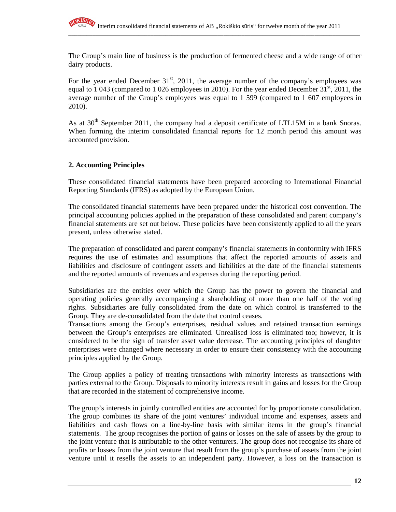

The Group's main line of business is the production of fermented cheese and a wide range of other dairy products.

**\_\_\_\_\_\_\_\_\_\_\_\_\_\_\_\_\_\_\_\_\_\_\_\_\_\_\_\_\_\_\_\_\_\_\_\_\_\_\_\_\_\_\_\_\_\_\_\_\_\_\_\_\_\_\_\_\_\_\_\_\_\_\_\_\_\_\_\_\_\_\_\_\_\_\_\_\_\_\_\_\_\_\_\_\_\_\_\_\_\_\_\_\_\_\_\_**

For the year ended December  $31<sup>st</sup>$ , 2011, the average number of the company's employees was equal to 1 043 (compared to 1 026 employees in 2010). For the year ended December  $31^{\text{st}}$ , 2011, the average number of the Group's employees was equal to 1 599 (compared to 1 607 employees in 2010).

As at  $30<sup>th</sup>$  September 2011, the company had a deposit certificate of LTL15M in a bank Snoras. When forming the interim consolidated financial reports for 12 month period this amount was accounted provision.

#### **2. Accounting Principles**

These consolidated financial statements have been prepared according to International Financial Reporting Standards (IFRS) as adopted by the European Union.

The consolidated financial statements have been prepared under the historical cost convention. The principal accounting policies applied in the preparation of these consolidated and parent company's financial statements are set out below. These policies have been consistently applied to all the years present, unless otherwise stated.

The preparation of consolidated and parent company's financial statements in conformity with IFRS requires the use of estimates and assumptions that affect the reported amounts of assets and liabilities and disclosure of contingent assets and liabilities at the date of the financial statements and the reported amounts of revenues and expenses during the reporting period.

Subsidiaries are the entities over which the Group has the power to govern the financial and operating policies generally accompanying a shareholding of more than one half of the voting rights. Subsidiaries are fully consolidated from the date on which control is transferred to the Group. They are de-consolidated from the date that control ceases.

Transactions among the Group's enterprises, residual values and retained transaction earnings between the Group's enterprises are eliminated. Unrealised loss is eliminated too; however, it is considered to be the sign of transfer asset value decrease. The accounting principles of daughter enterprises were changed where necessary in order to ensure their consistency with the accounting principles applied by the Group.

The Group applies a policy of treating transactions with minority interests as transactions with parties external to the Group. Disposals to minority interests result in gains and losses for the Group that are recorded in the statement of comprehensive income.

The group's interests in jointly controlled entities are accounted for by proportionate consolidation. The group combines its share of the joint ventures' individual income and expenses, assets and liabilities and cash flows on a line-by-line basis with similar items in the group's financial statements. The group recognises the portion of gains or losses on the sale of assets by the group to the joint venture that is attributable to the other venturers. The group does not recognise its share of profits or losses from the joint venture that result from the group's purchase of assets from the joint venture until it resells the assets to an independent party. However, a loss on the transaction is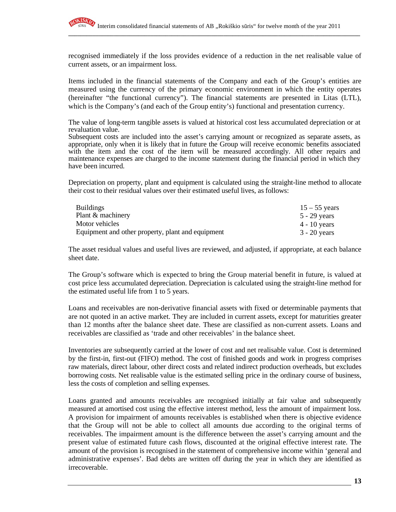

recognised immediately if the loss provides evidence of a reduction in the net realisable value of current assets, or an impairment loss.

Items included in the financial statements of the Company and each of the Group's entities are measured using the currency of the primary economic environment in which the entity operates (hereinafter "the functional currency"). The financial statements are presented in Litas (LTL), which is the Company's (and each of the Group entity's) functional and presentation currency.

The value of long-term tangible assets is valued at historical cost less accumulated depreciation or at revaluation value.

Subsequent costs are included into the asset's carrying amount or recognized as separate assets, as appropriate, only when it is likely that in future the Group will receive economic benefits associated with the item and the cost of the item will be measured accordingly. All other repairs and maintenance expenses are charged to the income statement during the financial period in which they have been incurred.

Depreciation on property, plant and equipment is calculated using the straight-line method to allocate their cost to their residual values over their estimated useful lives, as follows:

| <b>Buildings</b>                                  | $15 - 55$ years |
|---------------------------------------------------|-----------------|
| Plant & machinery                                 | 5 - 29 years    |
| Motor vehicles                                    | $4 - 10$ years  |
| Equipment and other property, plant and equipment | $3 - 20$ years  |

The asset residual values and useful lives are reviewed, and adjusted, if appropriate, at each balance sheet date.

The Group's software which is expected to bring the Group material benefit in future, is valued at cost price less accumulated depreciation. Depreciation is calculated using the straight-line method for the estimated useful life from 1 to 5 years.

Loans and receivables are non-derivative financial assets with fixed or determinable payments that are not quoted in an active market. They are included in current assets, except for maturities greater than 12 months after the balance sheet date. These are classified as non-current assets. Loans and receivables are classified as 'trade and other receivables' in the balance sheet.

Inventories are subsequently carried at the lower of cost and net realisable value. Cost is determined by the first-in, first-out (FIFO) method. The cost of finished goods and work in progress comprises raw materials, direct labour, other direct costs and related indirect production overheads, but excludes borrowing costs. Net realisable value is the estimated selling price in the ordinary course of business, less the costs of completion and selling expenses.

Loans granted and amounts receivables are recognised initially at fair value and subsequently measured at amortised cost using the effective interest method, less the amount of impairment loss. A provision for impairment of amounts receivables is established when there is objective evidence that the Group will not be able to collect all amounts due according to the original terms of receivables. The impairment amount is the difference between the asset's carrying amount and the present value of estimated future cash flows, discounted at the original effective interest rate. The amount of the provision is recognised in the statement of comprehensive income within 'general and administrative expenses'. Bad debts are written off during the year in which they are identified as irrecoverable.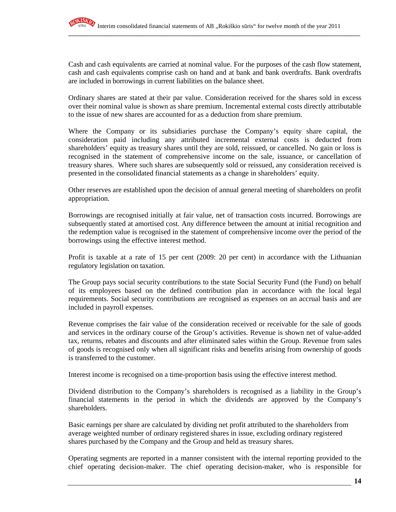

Cash and cash equivalents are carried at nominal value. For the purposes of the cash flow statement, cash and cash equivalents comprise cash on hand and at bank and bank overdrafts. Bank overdrafts are included in borrowings in current liabilities on the balance sheet.

Ordinary shares are stated at their par value. Consideration received for the shares sold in excess over their nominal value is shown as share premium. Incremental external costs directly attributable to the issue of new shares are accounted for as a deduction from share premium.

Where the Company or its subsidiaries purchase the Company's equity share capital, the consideration paid including any attributed incremental external costs is deducted from shareholders' equity as treasury shares until they are sold, reissued, or cancelled. No gain or loss is recognised in the statement of comprehensive income on the sale, issuance, or cancellation of treasury shares. Where such shares are subsequently sold or reissued, any consideration received is presented in the consolidated financial statements as a change in shareholders' equity.

Other reserves are established upon the decision of annual general meeting of shareholders on profit appropriation.

Borrowings are recognised initially at fair value, net of transaction costs incurred. Borrowings are subsequently stated at amortised cost. Any difference between the amount at initial recognition and the redemption value is recognised in the statement of comprehensive income over the period of the borrowings using the effective interest method.

Profit is taxable at a rate of 15 per cent (2009: 20 per cent) in accordance with the Lithuanian regulatory legislation on taxation.

The Group pays social security contributions to the state Social Security Fund (the Fund) on behalf of its employees based on the defined contribution plan in accordance with the local legal requirements. Social security contributions are recognised as expenses on an accrual basis and are included in payroll expenses.

Revenue comprises the fair value of the consideration received or receivable for the sale of goods and services in the ordinary course of the Group's activities. Revenue is shown net of value-added tax, returns, rebates and discounts and after eliminated sales within the Group. Revenue from sales of goods is recognised only when all significant risks and benefits arising from ownership of goods is transferred to the customer.

Interest income is recognised on a time-proportion basis using the effective interest method.

Dividend distribution to the Company's shareholders is recognised as a liability in the Group's financial statements in the period in which the dividends are approved by the Company's shareholders.

Basic earnings per share are calculated by dividing net profit attributed to the shareholders from average weighted number of ordinary registered shares in issue, excluding ordinary registered shares purchased by the Company and the Group and held as treasury shares.

Operating segments are reported in a manner consistent with the internal reporting provided to the chief operating decision-maker. The chief operating decision-maker, who is responsible for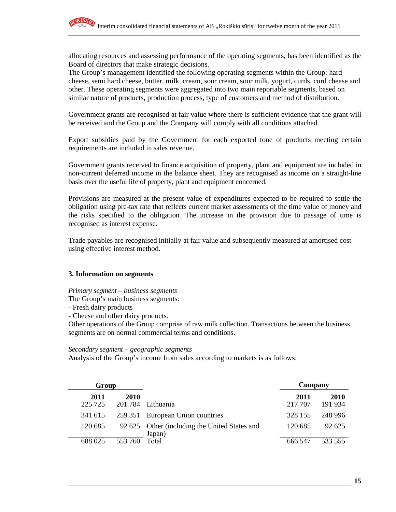allocating resources and assessing performance of the operating segments, has been identified as the Board of directors that make strategic decisions.

The Group's management identified the following operating segments within the Group: hard cheese, semi hard cheese, butter, milk, cream, sour cream, sour milk, yogurt, curds, curd cheese and other. These operating segments were aggregated into two main reportable segments, based on similar nature of products, production process, type of customers and method of distribution.

Government grants are recognised at fair value where there is sufficient evidence that the grant will be received and the Group and the Company will comply with all conditions attached.

Export subsidies paid by the Government for each exported tone of products meeting certain requirements are included in sales revenue.

Government grants received to finance acquisition of property, plant and equipment are included in non-current deferred income in the balance sheet. They are recognised as income on a straight-line basis over the useful life of property, plant and equipment concerned.

Provisions are measured at the present value of expenditures expected to be required to settle the obligation using pre-tax rate that reflects current market assessments of the time value of money and the risks specified to the obligation. The increase in the provision due to passage of time is recognised as interest expense.

Trade payables are recognised initially at fair value and subsequently measured at amortised cost using effective interest method.

#### **3. Information on segments**

*Primary segment – business segments* 

The Group's main business segments:

- Fresh dairy products
- Cheese and other dairy products.

Other operations of the Group comprise of raw milk collection. Transactions between the business segments are on normal commercial terms and conditions.

#### *Secondary segment – geographic segments*

Analysis of the Group's income from sales according to markets is as follows:

| Group           |                 |                                                         | Company         |                 |
|-----------------|-----------------|---------------------------------------------------------|-----------------|-----------------|
| 2011<br>225 725 | 2010<br>201 784 | Lithuania                                               | 2011<br>217 707 | 2010<br>191 934 |
| 341 615         |                 | 259 351 European Union countries                        | 328 155         | 248 996         |
| 120 685         |                 | 92 625 Other (including the United States and<br>Japan) | 120 685         | 92.625          |
| 688 025         | 553 760         | Total                                                   | 666 547         | 533 555         |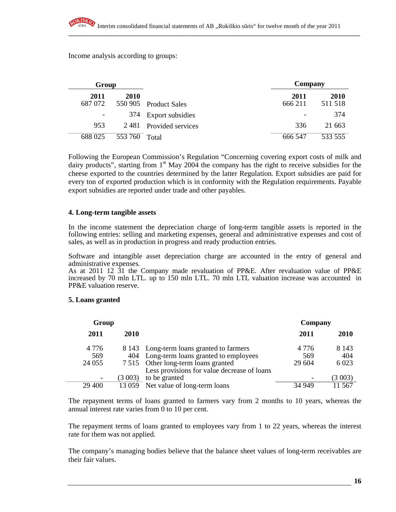Income analysis according to groups:

| Group           |         |                        | Company         |                 |
|-----------------|---------|------------------------|-----------------|-----------------|
| 2011<br>687 072 | 2010    | 550 905 Product Sales  | 2011<br>666 211 | 2010<br>511 518 |
|                 |         | 374 Export subsidies   |                 | 374             |
| 953             |         | 2481 Provided services | 336             | 21 663          |
| 688 025         | 553 760 | Total                  | 666 547         | 533 555         |

Following the European Commission's Regulation "Concerning covering export costs of milk and dairy products", starting from  $1<sup>st</sup>$  May 2004 the company has the right to receive subsidies for the cheese exported to the countries determined by the latter Regulation. Export subsidies are paid for every ton of exported production which is in conformity with the Regulation requirements. Payable export subsidies are reported under trade and other payables.

#### **4. Long-term tangible assets**

In the income statement the depreciation charge of long-term tangible assets is reported in the following entries: selling and marketing expenses, general and administrative expenses and cost of sales, as well as in production in progress and ready production entries.

Software and intangible asset depreciation charge are accounted in the entry of general and administrative expenses.

As at 2011 12 31 the Company made revaluation of PP&E. After revaluation value of PP&E increased by 70 mln LTL. up to 150 mln LTL. 70 mln LTL valuation increase was accounted in PP&E valuation reserve.

#### **5. Loans granted**

| Group                     |        |                                                                                                                                                                            | Company                  |                          |
|---------------------------|--------|----------------------------------------------------------------------------------------------------------------------------------------------------------------------------|--------------------------|--------------------------|
| 2011                      | 2010   |                                                                                                                                                                            | 2011                     | 2010                     |
| 4 7 7 6<br>569<br>24 0 55 |        | 8 143 Long-term loans granted to farmers<br>404 Long-term loans granted to employees<br>7 515 Other long-term loans granted<br>Less provisions for value decrease of loans | 4 7 7 6<br>569<br>29 604 | 8 1 4 3<br>404<br>6 0 23 |
|                           | (3003) | to be granted                                                                                                                                                              |                          | (3003)                   |
| 29 400                    |        | 13 059 Net value of long-term loans                                                                                                                                        | 34 949                   | 11 567                   |

The repayment terms of loans granted to farmers vary from 2 months to 10 years, whereas the annual interest rate varies from 0 to 10 per cent.

The repayment terms of loans granted to employees vary from 1 to 22 years, whereas the interest rate for them was not applied.

The company's managing bodies believe that the balance sheet values of long-term receivables are their fair values.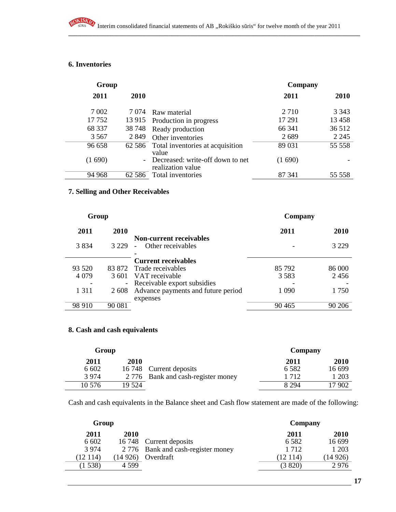# **6. Inventories**

RO

| Group   |          |                                                       | Company |         |
|---------|----------|-------------------------------------------------------|---------|---------|
| 2011    | 2010     |                                                       | 2011    | 2010    |
| 7 0 0 2 | 7 074    | Raw material                                          | 2 7 1 0 | 3 3 4 3 |
| 17752   | 13 915   | Production in progress                                | 17 29 1 | 13 4 58 |
| 68 337  | 38 748   | Ready production                                      | 66 341  | 36 512  |
| 3 5 6 7 | 2 8 4 9  | Other inventories                                     | 2689    | 2 2 4 5 |
| 96 658  |          | 62 586 Total inventories at acquisition<br>value      | 89 031  | 55 558  |
| (1690)  |          | Decreased: write-off down to net<br>realization value | (1690)  |         |
| 94 968  | 62 5 8 6 | Total inventories                                     | 87 341  | 55 558  |

# **7. Selling and Other Receivables**

| Group             |                                                               | Company |         |
|-------------------|---------------------------------------------------------------|---------|---------|
| 2010<br>2011      |                                                               | 2011    | 2010    |
| 3 8 3 4<br>3 229  | <b>Non-current receivables</b><br>Other receivables<br>$\sim$ |         | 3 2 2 9 |
|                   | <b>Current receivables</b>                                    |         |         |
| 93 5 20<br>83 872 | Trade receivables                                             | 85 792  | 86 000  |
| 4 0 7 9<br>3.601  | VAT receivable                                                | 3 5 8 3 | 2456    |
|                   | - Receivable export subsidies                                 |         |         |
| 1 3 1 1<br>2 608  | Advance payments and future period                            | 1 0 9 0 | 1750    |
|                   | expenses                                                      |         |         |
| 98 910<br>90 081  |                                                               | 90 4 65 | 90 206  |

## **8. Cash and cash equivalents**

| Group  |        |                                    | Company |        |
|--------|--------|------------------------------------|---------|--------|
| 2011   | 2010   |                                    | 2011    | 2010   |
| 6 602  |        | 16 748 Current deposits            | 6 5 8 2 | 16 699 |
| 3974   |        | 2 776 Bank and cash-register money | 1 7 1 2 | 1 203  |
| 10 576 | 19 524 |                                    | 8 2 9 4 | l7 902 |

Cash and cash equivalents in the Balance sheet and Cash flow statement are made of the following:

| Group               |                                    | Company  |         |
|---------------------|------------------------------------|----------|---------|
| 2010<br>2011        |                                    | 2011     | 2010    |
| 6 602               | 16 748 Current deposits            | 6 5 8 2  | 16 699  |
| 3 9 7 4             | 2 776 Bank and cash-register money | 1 7 1 2  | 1 203   |
| (12 114)<br>(14926) | Overdraft                          | (12 114) | (14926) |
| (1538)<br>4 5 9 9   |                                    | (3820)   | 2976    |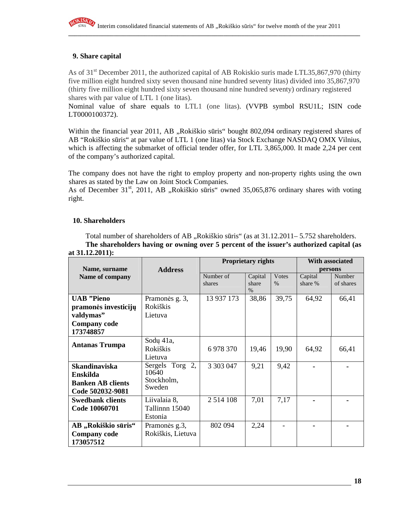

#### **9. Share capital**

As of 31<sup>st</sup> December 2011, the authorized capital of AB Rokiskio suris made LTL35,867,970 (thirty five million eight hundred sixty seven thousand nine hundred seventy litas) divided into 35,867,970 (thirty five million eight hundred sixty seven thousand nine hundred seventy) ordinary registered shares with par value of LTL 1 (one litas).

Nominal value of share equals to LTL1 (one litas). (VVPB symbol RSU1L; ISIN code LT0000100372).

Within the financial year 2011, AB "Rokiškio sūris" bought 802,094 ordinary registered shares of AB "Rokiškio sūris" at par value of LTL 1 (one litas) via Stock Exchange NASDAQ OMX Vilnius, which is affecting the submarket of official tender offer, for LTL 3,865,000. It made 2,24 per cent of the company's authorized capital.

The company does not have the right to employ property and non-property rights using the own shares as stated by the Law on Joint Stock Companies.

As of December  $31<sup>st</sup>$ , 2011, AB "Rokiškio sūris" owned 35,065,876 ordinary shares with voting right.

#### **10. Shareholders**

Total number of shareholders of AB "Rokiškio sūris" (as at 31.12.2011– 5.752 shareholders. **The shareholders having or owning over 5 percent of the issuer's authorized capital (as** 

|                          |                       | <b>Proprietary rights</b> |         |               | With associated |           |
|--------------------------|-----------------------|---------------------------|---------|---------------|-----------------|-----------|
| Name, surname            | <b>Address</b>        |                           |         |               | persons         |           |
| Name of company          |                       | Number of                 | Capital | <b>V</b> otes | Capital         | Number    |
|                          |                       | shares                    | share   | $\frac{0}{0}$ | share %         | of shares |
|                          |                       |                           | $\%$    |               |                 |           |
| <b>UAB</b> "Pieno        | Pramonės g. 3,        | 13 937 173                | 38,86   | 39,75         | 64,92           | 66,41     |
| pramonės investicijų     | Rokiškis              |                           |         |               |                 |           |
| valdymas"                | Lietuva               |                           |         |               |                 |           |
| <b>Company code</b>      |                       |                           |         |               |                 |           |
| 173748857                |                       |                           |         |               |                 |           |
|                          | Sodu 41a,             |                           |         |               |                 |           |
| <b>Antanas Trumpa</b>    | Rokiškis              | 6 978 370                 | 19,46   | 19,90         | 64,92           | 66,41     |
|                          | Lietuva               |                           |         |               |                 |           |
| <b>Skandinaviska</b>     | Torg<br>2,<br>Sergels | 3 3 0 3 0 4 7             | 9,21    | 9,42          |                 |           |
| Enskilda                 | 10640                 |                           |         |               |                 |           |
| <b>Banken AB clients</b> | Stockholm,            |                           |         |               |                 |           |
| Code 502032-9081         | Sweden                |                           |         |               |                 |           |
| <b>Swedbank clients</b>  | Liivalaia 8,          | 2 5 14 108                | 7,01    | 7,17          |                 |           |
| Code 10060701            | Tallinnn 15040        |                           |         |               |                 |           |
|                          | Estonia               |                           |         |               |                 |           |
| AB "Rokiškio sūris"      | Pramonės g.3,         | 802 094                   | 2,24    |               |                 |           |
| <b>Company code</b>      | Rokiškis, Lietuva     |                           |         |               |                 |           |
| 173057512                |                       |                           |         |               |                 |           |

# **at 31.12.2011):**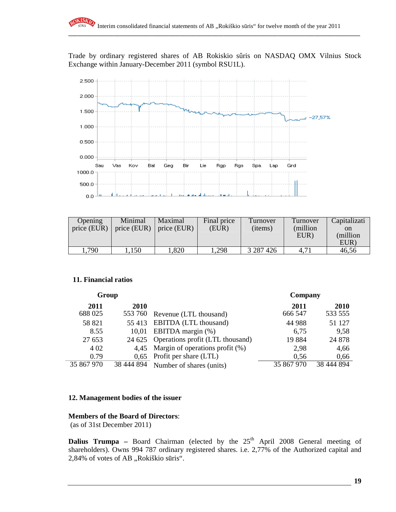Trade by ordinary registered shares of AB Rokiskio sûris on NASDAQ OMX Vilnius Stock Exchange within January-December 2011 (symbol RSU1L).



| Opening<br>price (EUR) | Minimal<br>price (EUR) $\parallel$ | Maximal<br>$\vert$ price (EUR) | Final price<br>(EUR) | Turnover<br>(items) | Turnover<br>(million)<br>EUR) | Capitalizati<br><sub>on</sub><br>(million)<br>EUR) |
|------------------------|------------------------------------|--------------------------------|----------------------|---------------------|-------------------------------|----------------------------------------------------|
| .790                   | 150                                | ,820                           | .298                 | 3 287 4 26          | 4,71                          | 46,56                                              |

#### **11. Financial ratios**

| Group      |            |                                    | Company    |            |
|------------|------------|------------------------------------|------------|------------|
| 2011       | 2010       |                                    | 2011       | 2010       |
| 688 025    | 553 760    | Revenue (LTL thousand)             | 666 547    | 533 555    |
| 58 821     | 55 413     | EBITDA (LTL thousand)              | 44 988     | 51 127     |
| 8.55       | 10,01      | EBITDA margin (%)                  | 6,75       | 9,58       |
| 27 653     | 24 625     | Operations profit (LTL thousand)   | 19884      | 24 878     |
| 4 0 2      | 4,45       | Margin of operations profit $(\%)$ | 2,98       | 4,66       |
| 0.79       | 0.65       | Profit per share (LTL)             | 0.56       | 0,66       |
| 35 867 970 | 38 444 894 | Number of shares (units)           | 35 867 970 | 38 444 894 |

#### **12. Management bodies of the issuer**

#### **Members of the Board of Directors**:

(as of 31st December 2011)

**Dalius Trumpa** – Board Chairman (elected by the  $25<sup>th</sup>$  April 2008 General meeting of shareholders). Owns 994 787 ordinary registered shares. i.e. 2,77% of the Authorized capital and 2,84% of votes of AB "Rokiškio sūris".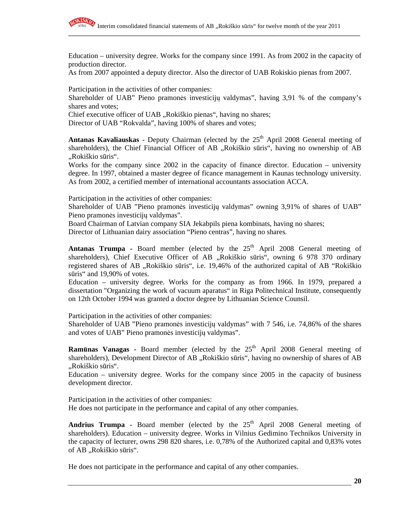

Education – university degree. Works for the company since 1991. As from 2002 in the capacity of production director.

As from 2007 appointed a deputy director. Also the director of UAB Rokiskio pienas from 2007.

Participation in the activities of other companies:

Shareholder of UAB" Pieno pramonės investicijų valdymas", having 3,91 % of the company's shares and votes;

Chief executive officer of UAB "Rokiškio pienas", having no shares;

Director of UAB "Rokvalda", having 100% of shares and votes;

**Antanas Kavaliauskas** - Deputy Chairman (elected by the 25<sup>th</sup> April 2008 General meeting of shareholders), the Chief Financial Officer of AB "Rokiškio sūris", having no ownership of AB "Rokiškio sūris".

Works for the company since 2002 in the capacity of finance director. Education – university degree. In 1997, obtained a master degree of ficance management in Kaunas technology university. As from 2002, a certified member of international accountants association ACCA.

Participation in the activities of other companies:

Shareholder of UAB "Pieno pramonės investicijų valdymas" owning 3,91% of shares of UAB" Pieno pramonės investicijų valdymas".

Board Chairman of Latvian company SIA Jekabpils piena kombinats, having no shares;

Director of Lithuanian dairy association "Pieno centras", having no shares.

**Antanas Trumpa -** Board member (elected by the  $25<sup>th</sup>$  April 2008 General meeting of shareholders), Chief Executive Officer of AB "Rokiškio sūris", owning 6 978 370 ordinary registered shares of AB "Rokiškio sūris", i.e. 19,46% of the authorized capital of AB "Rokiškio" sūris" and 19,90% of votes.

Education – university degree. Works for the company as from 1966. In 1979, prepared a dissertation "Organizing the work of vacuum aparatus" in Riga Politechnical Institute, consequently on 12th October 1994 was granted a doctor degree by Lithuanian Science Counsil.

Participation in the activities of other companies:

Shareholder of UAB "Pieno pramonės investicijų valdymas" with 7 546, i.e. 74,86% of the shares and votes of UAB" Pieno pramonės investicijų valdymas".

**Ramūnas Vanagas -** Board member (elected by the 25<sup>th</sup> April 2008 General meeting of shareholders), Development Director of AB "Rokiškio sūris", having no ownership of shares of AB "Rokiškio sūris".

Education – university degree. Works for the company since 2005 in the capacity of business development director.

Participation in the activities of other companies: He does not participate in the performance and capital of any other companies.

**Andrius Trumpa** - Board member (elected by the  $25<sup>th</sup>$  April 2008 General meeting of shareholders). Education – university degree. Works in Vilnius Gedimino Technikos University in the capacity of lecturer, owns 298 820 shares, i.e. 0,78% of the Authorized capital and 0,83% votes of AB "Rokiškio sūris".

He does not participate in the performance and capital of any other companies.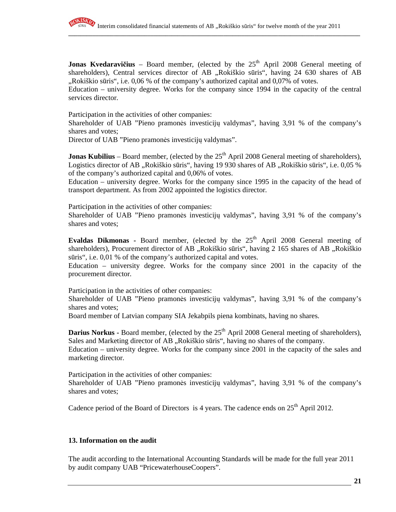

**Jonas Kvedaravičius** – Board member, (elected by the 25<sup>th</sup> April 2008 General meeting of shareholders), Central services director of AB "Rokiškio sūris", having 24 630 shares of AB ",Rokiškio sūris", i.e. 0,06 % of the company's authorized capital and 0,07% of votes.

Education – university degree. Works for the company since 1994 in the capacity of the central services director.

Participation in the activities of other companies:

Shareholder of UAB "Pieno pramonės investicijų valdymas", having 3,91 % of the company's shares and votes;

Director of UAB "Pieno pramonės investicijų valdymas".

**Jonas Kubilius** – Board member, (elected by the  $25<sup>th</sup>$  April 2008 General meeting of shareholders), Logistics director of AB "Rokiškio sūris", having 19 930 shares of AB "Rokiškio sūris", i.e. 0,05 % of the company's authorized capital and 0,06% of votes.

Education – university degree. Works for the company since 1995 in the capacity of the head of transport department. As from 2002 appointed the logistics director.

Participation in the activities of other companies:

Shareholder of UAB "Pieno pramonės investicijų valdymas", having 3,91 % of the company's shares and votes;

Evaldas Dikmonas - Board member, (elected by the 25<sup>th</sup> April 2008 General meeting of shareholders), Procurement director of AB "Rokiškio sūris", having 2 165 shares of AB "Rokiškio sūris", i.e. 0,01 % of the company's authorized capital and votes.

Education – university degree. Works for the company since 2001 in the capacity of the procurement director.

Participation in the activities of other companies:

Shareholder of UAB "Pieno pramonės investicijų valdymas", having 3,91 % of the company's shares and votes;

Board member of Latvian company SIA Jekabpils piena kombinats, having no shares.

**Darius Norkus - Board member, (elected by the 25<sup>th</sup> April 2008 General meeting of shareholders),** Sales and Marketing director of AB "Rokiškio sūris", having no shares of the company.

Education – university degree. Works for the company since 2001 in the capacity of the sales and marketing director.

Participation in the activities of other companies:

Shareholder of UAB "Pieno pramonės investicijų valdymas", having 3,91 % of the company's shares and votes;

Cadence period of the Board of Directors is 4 years. The cadence ends on  $25<sup>th</sup>$  April 2012.

#### **13. Information on the audit**

The audit according to the International Accounting Standards will be made for the full year 2011 by audit company UAB "PricewaterhouseCoopers".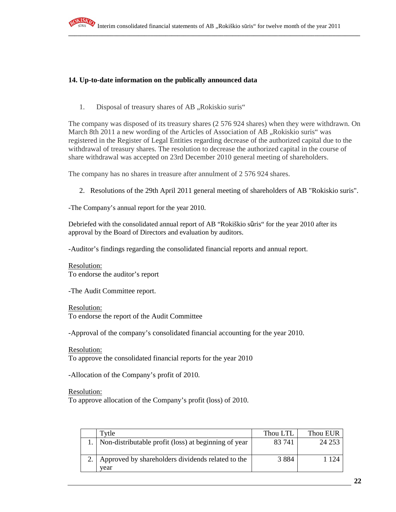

## **14. Up-to-date information on the publically announced data**

1. Disposal of treasury shares of AB "Rokiskio suris"

The company was disposed of its treasury shares (2 576 924 shares) when they were withdrawn. On March 8th 2011 a new wording of the Articles of Association of AB, Rokiskio suris" was registered in the Register of Legal Entities regarding decrease of the authorized capital due to the withdrawal of treasury shares. The resolution to decrease the authorized capital in the course of share withdrawal was accepted on 23rd December 2010 general meeting of shareholders.

The company has no shares in treasure after annulment of 2 576 924 shares.

2. Resolutions of the 29th April 2011 general meeting of shareholders of AB "Rokiskio suris".

-The Company's annual report for the year 2010.

Debriefed with the consolidated annual report of AB "Rokiškio sūris" for the year 2010 after its approval by the Board of Directors and evaluation by auditors.

-Auditor's findings regarding the consolidated financial reports and annual report.

Resolution: To endorse the auditor's report

-The Audit Committee report.

Resolution: To endorse the report of the Audit Committee

-Approval of the company's consolidated financial accounting for the year 2010.

Resolution:

To approve the consolidated financial reports for the year 2010

-Allocation of the Company's profit of 2010.

Resolution:

To approve allocation of the Company's profit (loss) of 2010.

| Tvtle                                                          | Thou LTL | Thou EUR |
|----------------------------------------------------------------|----------|----------|
| 1. Non-distributable profit (loss) at beginning of year        | 83 741   | 24 253   |
| 2.   Approved by shareholders dividends related to the<br>vear | 3 8 8 4  | 1 1 2 4  |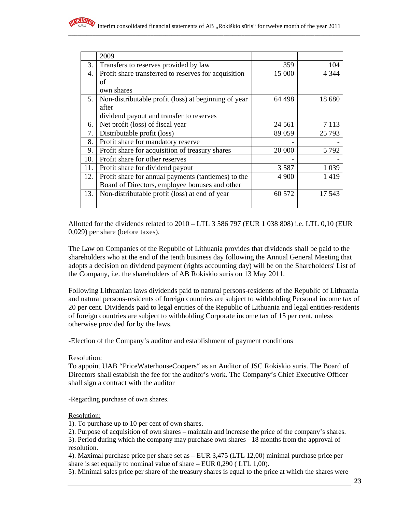

|     | 2009                                                 |         |         |
|-----|------------------------------------------------------|---------|---------|
| 3.  | Transfers to reserves provided by law                | 359     | 104     |
| 4.  | Profit share transferred to reserves for acquisition | 15 000  | 4 3 4 4 |
|     | of                                                   |         |         |
|     | own shares                                           |         |         |
| 5.  | Non-distributable profit (loss) at beginning of year | 64 498  | 18 680  |
|     | after                                                |         |         |
|     | dividend payout and transfer to reserves             |         |         |
| 6.  | Net profit (loss) of fiscal year                     | 24 5 61 | 7 1 1 3 |
| 7.  | Distributable profit (loss)                          | 89 059  | 25 7 93 |
| 8.  | Profit share for mandatory reserve                   |         |         |
| 9.  | Profit share for acquisition of treasury shares      | 20 000  | 5 7 9 2 |
| 10. | Profit share for other reserves                      |         |         |
| 11. | Profit share for dividend payout                     | 3 5 8 7 | 1 0 3 9 |
| 12. | Profit share for annual payments (tantiemes) to the  | 4 9 0 0 | 1419    |
|     | Board of Directors, employee bonuses and other       |         |         |
| 13. | Non-distributable profit (loss) at end of year       | 60 572  | 17 543  |
|     |                                                      |         |         |

Allotted for the dividends related to  $2010 - LTL$  3 586 797 (EUR 1 038 808) i.e. LTL 0,10 (EUR 0,029) per share (before taxes).

The Law on Companies of the Republic of Lithuania provides that dividends shall be paid to the shareholders who at the end of the tenth business day following the Annual General Meeting that adopts a decision on dividend payment (rights accounting day) will be on the Shareholders' List of the Company, i.e. the shareholders of AB Rokiskio suris on 13 May 2011.

Following Lithuanian laws dividends paid to natural persons-residents of the Republic of Lithuania and natural persons-residents of foreign countries are subject to withholding Personal income tax of 20 per cent. Dividends paid to legal entities of the Republic of Lithuania and legal entities-residents of foreign countries are subject to withholding Corporate income tax of 15 per cent, unless otherwise provided for by the laws.

-Election of the Company's auditor and establishment of payment conditions

#### Resolution:

To appoint UAB "PriceWaterhouseCoopers" as an Auditor of JSC Rokiskio suris. The Board of Directors shall establish the fee for the auditor's work. The Company's Chief Executive Officer shall sign a contract with the auditor

-Regarding purchase of own shares.

#### Resolution:

1). To purchase up to 10 per cent of own shares.

2). Purpose of acquisition of own shares – maintain and increase the price of the company's shares.

3). Period during which the company may purchase own shares - 18 months from the approval of resolution.

4). Maximal purchase price per share set as – EUR 3,475 (LTL 12,00) minimal purchase price per share is set equally to nominal value of share – EUR 0,290 ( LTL 1,00).

5). Minimal sales price per share of the treasury shares is equal to the price at which the shares were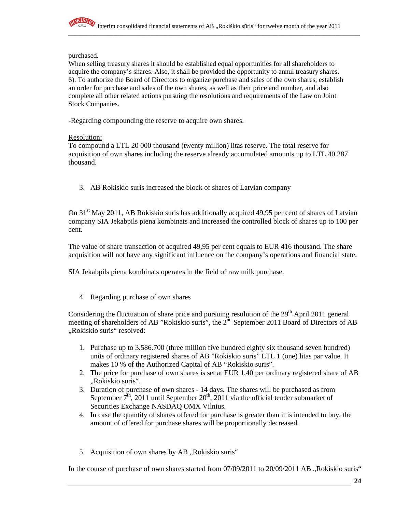

purchased.

When selling treasury shares it should be established equal opportunities for all shareholders to acquire the company's shares. Also, it shall be provided the opportunity to annul treasury shares. 6). To authorize the Board of Directors to organize purchase and sales of the own shares, establish an order for purchase and sales of the own shares, as well as their price and number, and also complete all other related actions pursuing the resolutions and requirements of the Law on Joint Stock Companies.

-Regarding compounding the reserve to acquire own shares.

#### Resolution:

To compound a LTL 20 000 thousand (twenty million) litas reserve. The total reserve for acquisition of own shares including the reserve already accumulated amounts up to LTL 40 287 thousand.

3. AB Rokiskio suris increased the block of shares of Latvian company

On  $31<sup>st</sup>$  May 2011, AB Rokiskio suris has additionally acquired 49,95 per cent of shares of Latvian company SIA Jekabpils piena kombinats and increased the controlled block of shares up to 100 per cent.

The value of share transaction of acquired 49,95 per cent equals to EUR 416 thousand. The share acquisition will not have any significant influence on the company's operations and financial state.

SIA Jekabpils piena kombinats operates in the field of raw milk purchase.

4. Regarding purchase of own shares

Considering the fluctuation of share price and pursuing resolution of the  $29<sup>th</sup>$  April 2011 general meeting of shareholders of AB "Rokiskio suris", the 2<sup>nd</sup> September 2011 Board of Directors of AB "Rokiskio suris" resolved:

- 1. Purchase up to 3.586.700 (three million five hundred eighty six thousand seven hundred) units of ordinary registered shares of AB "Rokiskio suris" LTL 1 (one) litas par value. It makes 10 % of the Authorized Capital of AB "Rokiskio suris".
- 2. The price for purchase of own shares is set at EUR 1,40 per ordinary registered share of AB "Rokiskio suris".
- 3. Duration of purchase of own shares 14 days. The shares will be purchased as from September  $7^{\text{th}}$ , 2011 until September 20<sup>th</sup>, 2011 via the official tender submarket of Securities Exchange NASDAQ OMX Vilnius.
- 4. In case the quantity of shares offered for purchase is greater than it is intended to buy, the amount of offered for purchase shares will be proportionally decreased.
- 5. Acquisition of own shares by AB "Rokiskio suris"

In the course of purchase of own shares started from  $07/09/2011$  to  $20/09/2011$  AB  $,$ Rokiskio suris"